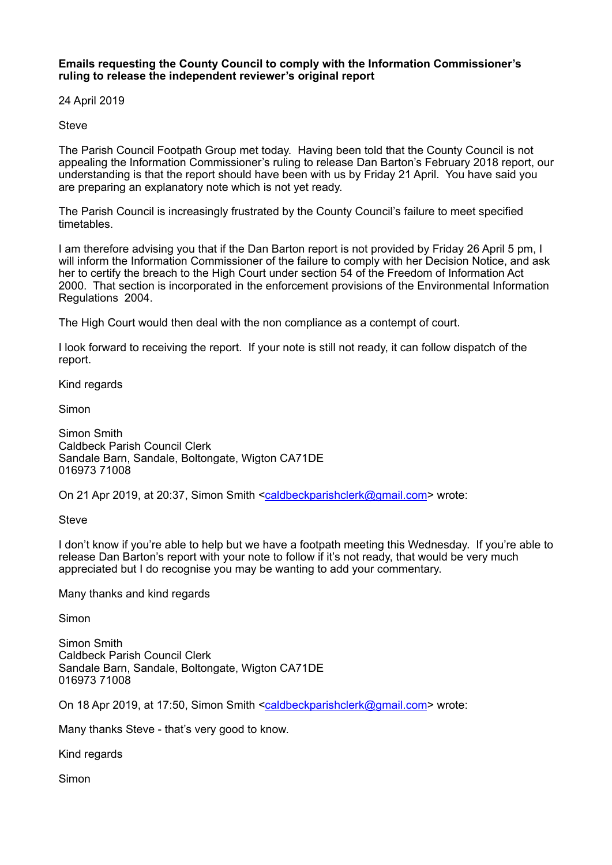**Emails requesting the County Council to comply with the Information Commissioner's ruling to release the independent reviewer's original report** 

24 April 2019

**Steve** 

The Parish Council Footpath Group met today. Having been told that the County Council is not appealing the Information Commissioner's ruling to release Dan Barton's February 2018 report, our understanding is that the report should have been with us by Friday 21 April. You have said you are preparing an explanatory note which is not yet ready.

The Parish Council is increasingly frustrated by the County Council's failure to meet specified timetables.

I am therefore advising you that if the Dan Barton report is not provided by Friday 26 April 5 pm, I will inform the Information Commissioner of the failure to comply with her Decision Notice, and ask her to certify the breach to the High Court under section 54 of the Freedom of Information Act 2000. That section is incorporated in the enforcement provisions of the Environmental Information Regulations 2004.

The High Court would then deal with the non compliance as a contempt of court.

I look forward to receiving the report. If your note is still not ready, it can follow dispatch of the report.

Kind regards

Simon

Simon Smith Caldbeck Parish Council Clerk Sandale Barn, Sandale, Boltongate, Wigton CA71DE 016973 71008

On 21 Apr 2019, at 20:37, Simon Smith <[caldbeckparishclerk@gmail.com](mailto:caldbeckparishclerk@gmail.com)> wrote:

**Steve** 

I don't know if you're able to help but we have a footpath meeting this Wednesday. If you're able to release Dan Barton's report with your note to follow if it's not ready, that would be very much appreciated but I do recognise you may be wanting to add your commentary.

Many thanks and kind regards

Simon

Simon Smith Caldbeck Parish Council Clerk Sandale Barn, Sandale, Boltongate, Wigton CA71DE 016973 71008

On 18 Apr 2019, at 17:50, Simon Smith <[caldbeckparishclerk@gmail.com](mailto:caldbeckparishclerk@gmail.com)> wrote:

Many thanks Steve - that's very good to know.

Kind regards

Simon